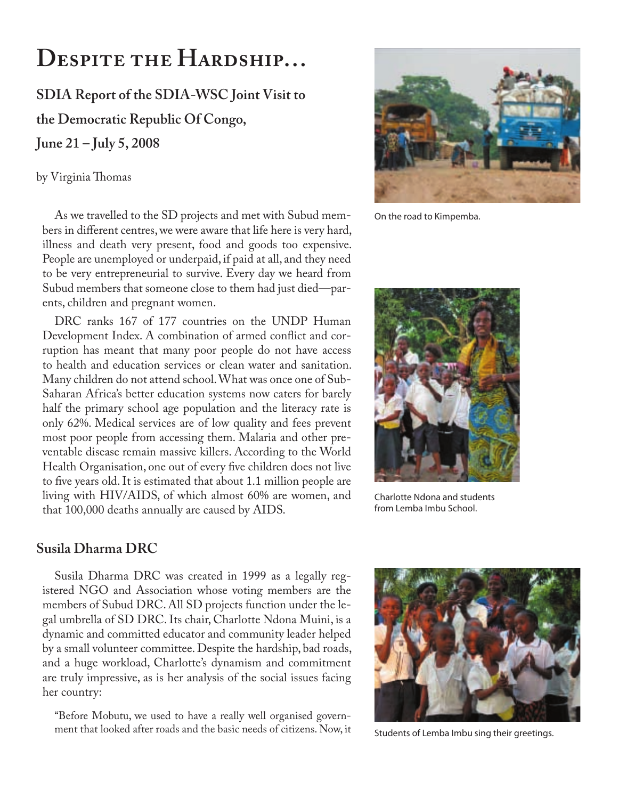# **DESPITE THE HARDSHIP…**

**SDIA Report of the SDIA-WSC Joint Visit to the Democratic Republic Of Congo, June 21 – July 5, 2008** 

by Virginia Thomas

As we travelled to the SD projects and met with Subud members in different centres, we were aware that life here is very hard, illness and death very present, food and goods too expensive. People are unemployed or underpaid, if paid at all, and they need to be very entrepreneurial to survive. Every day we heard from Subud members that someone close to them had just died—parents, children and pregnant women.

DRC ranks 167 of 177 countries on the UNDP Human Development Index. A combination of armed conflict and corruption has meant that many poor people do not have access to health and education services or clean water and sanitation. Many children do not attend school. What was once one of Sub-Saharan Africa's better education systems now caters for barely half the primary school age population and the literacy rate is only 62%. Medical services are of low quality and fees prevent most poor people from accessing them. Malaria and other preventable disease remain massive killers. According to the World Health Organisation, one out of every five children does not live to five years old. It is estimated that about 1.1 million people are living with HIV/AIDS, of which almost 60% are women, and that 100,000 deaths annually are caused by AIDS.



On the road to Kimpemba.



Charlotte Ndona and students from Lemba Imbu School.

#### **Susila Dharma DRC**

Susila Dharma DRC was created in 1999 as a legally registered NGO and Association whose voting members are the members of Subud DRC. All SD projects function under the legal umbrella of SD DRC. Its chair, Charlotte Ndona Muini, is a dynamic and committed educator and community leader helped by a small volunteer committee. Despite the hardship, bad roads, and a huge workload, Charlotte's dynamism and commitment are truly impressive, as is her analysis of the social issues facing her country:

"Before Mobutu, we used to have a really well organised government that looked after roads and the basic needs of citizens. Now, it



Students of Lemba Imbu sing their greetings.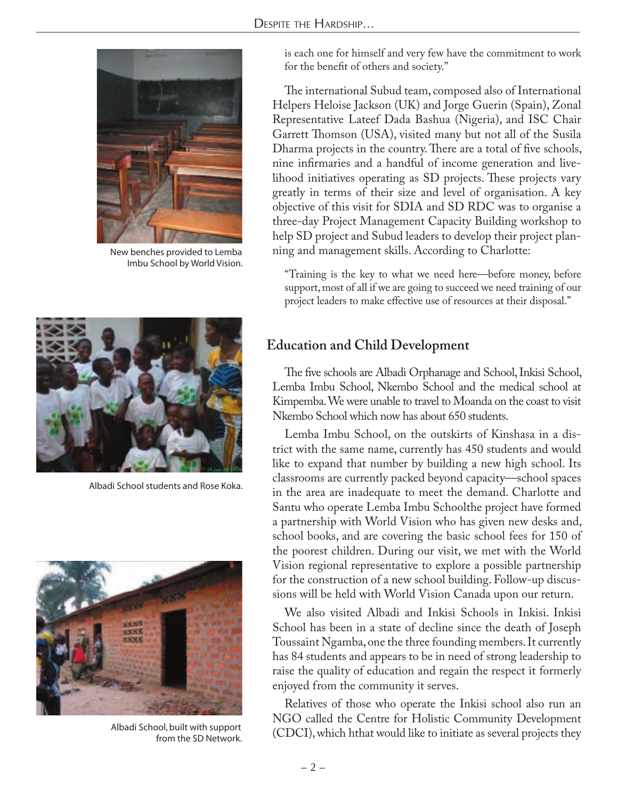

New benches provided to Lemba Imbu School by World Vision.



Albadi School students and Rose Koka.



Albadi School, built with support from the SD Network.

is each one for himself and very few have the commitment to work for the benefit of others and society."

The international Subud team, composed also of International Helpers Heloise Jackson (UK) and Jorge Guerin (Spain), Zonal Representative Lateef Dada Bashua (Nigeria), and ISC Chair Garrett Thomson (USA), visited many but not all of the Susila Dharma projects in the country. There are a total of five schools, nine infirmaries and a handful of income generation and livelihood initiatives operating as SD projects. These projects vary greatly in terms of their size and level of organisation. A key objective of this visit for SDIA and SD RDC was to organise a three-day Project Management Capacity Building workshop to help SD project and Subud leaders to develop their project planning and management skills. According to Charlotte:

"Training is the key to what we need here—before money, before support, most of all if we are going to succeed we need training of our project leaders to make effective use of resources at their disposal."

## **Education and Child Development**

The five schools are Albadi Orphanage and School, Inkisi School, Lemba Imbu School, Nkembo School and the medical school at Kimpemba. We were unable to travel to Moanda on the coast to visit Nkembo School which now has about 650 students.

Lemba Imbu School, on the outskirts of Kinshasa in a district with the same name, currently has 450 students and would like to expand that number by building a new high school. Its classrooms are currently packed beyond capacity—school spaces in the area are inadequate to meet the demand. Charlotte and Santu who operate Lemba Imbu Schoolthe project have formed a partnership with World Vision who has given new desks and, school books, and are covering the basic school fees for 150 of the poorest children. During our visit, we met with the World Vision regional representative to explore a possible partnership for the construction of a new school building. Follow-up discussions will be held with World Vision Canada upon our return.

We also visited Albadi and Inkisi Schools in Inkisi. Inkisi School has been in a state of decline since the death of Joseph Toussaint Ngamba, one the three founding members. It currently has 84 students and appears to be in need of strong leadership to raise the quality of education and regain the respect it formerly enjoyed from the community it serves.

Relatives of those who operate the Inkisi school also run an NGO called the Centre for Holistic Community Development (CDCI), which hthat would like to initiate as several projects they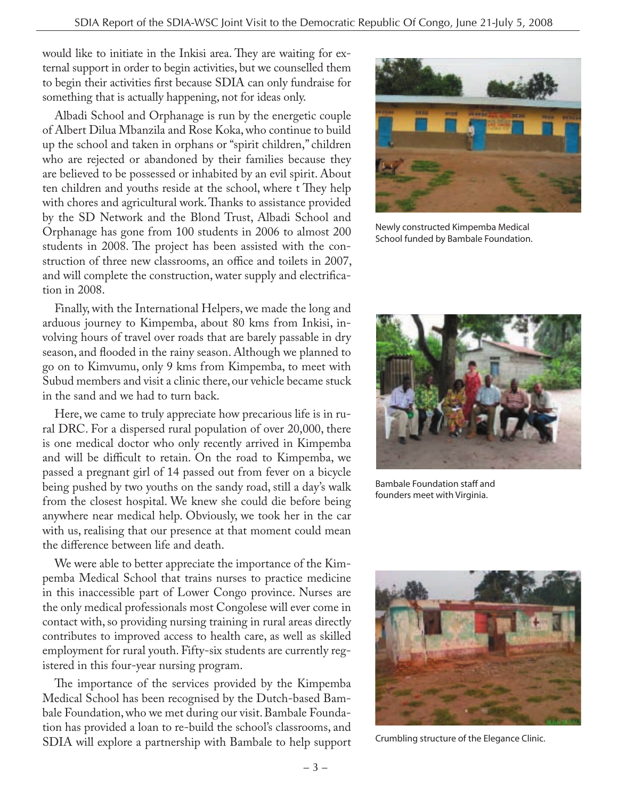would like to initiate in the Inkisi area. They are waiting for external support in order to begin activities, but we counselled them to begin their activities first because SDIA can only fundraise for something that is actually happening, not for ideas only.

Albadi School and Orphanage is run by the energetic couple of Albert Dilua Mbanzila and Rose Koka, who continue to build up the school and taken in orphans or "spirit children," children who are rejected or abandoned by their families because they are believed to be possessed or inhabited by an evil spirit. About ten children and youths reside at the school, where t They help with chores and agricultural work. Thanks to assistance provided by the SD Network and the Blond Trust, Albadi School and Orphanage has gone from 100 students in 2006 to almost 200 students in 2008. The project has been assisted with the construction of three new classrooms, an office and toilets in 2007, and will complete the construction, water supply and electrification in 2008.

Finally, with the International Helpers, we made the long and arduous journey to Kimpemba, about 80 kms from Inkisi, involving hours of travel over roads that are barely passable in dry season, and flooded in the rainy season. Although we planned to go on to Kimvumu, only 9 kms from Kimpemba, to meet with Subud members and visit a clinic there, our vehicle became stuck in the sand and we had to turn back.

Here, we came to truly appreciate how precarious life is in rural DRC. For a dispersed rural population of over 20,000, there is one medical doctor who only recently arrived in Kimpemba and will be difficult to retain. On the road to Kimpemba, we passed a pregnant girl of 14 passed out from fever on a bicycle being pushed by two youths on the sandy road, still a day's walk from the closest hospital. We knew she could die before being anywhere near medical help. Obviously, we took her in the car with us, realising that our presence at that moment could mean the difference between life and death.

We were able to better appreciate the importance of the Kimpemba Medical School that trains nurses to practice medicine in this inaccessible part of Lower Congo province. Nurses are the only medical professionals most Congolese will ever come in contact with, so providing nursing training in rural areas directly contributes to improved access to health care, as well as skilled employment for rural youth. Fifty-six students are currently registered in this four-year nursing program.

The importance of the services provided by the Kimpemba Medical School has been recognised by the Dutch-based Bambale Foundation, who we met during our visit. Bambale Foundation has provided a loan to re-build the school's classrooms, and SDIA will explore a partnership with Bambale to help support



Newly constructed Kimpemba Medical School funded by Bambale Foundation.



Bambale Foundation staff and founders meet with Virginia.



Crumbling structure of the Elegance Clinic.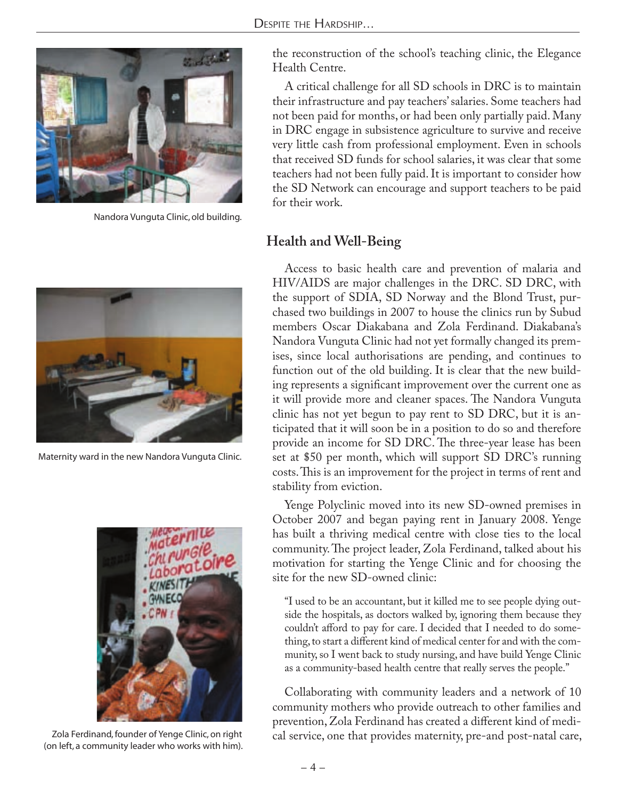

Nandora Vunguta Clinic, old building.



Maternity ward in the new Nandora Vunguta Clinic.



Zola Ferdinand, founder of Yenge Clinic, on right (on left, a community leader who works with him).

the reconstruction of the school's teaching clinic, the Elegance Health Centre.

A critical challenge for all SD schools in DRC is to maintain their infrastructure and pay teachers' salaries. Some teachers had not been paid for months, or had been only partially paid. Many in DRC engage in subsistence agriculture to survive and receive very little cash from professional employment. Even in schools that received SD funds for school salaries, it was clear that some teachers had not been fully paid. It is important to consider how the SD Network can encourage and support teachers to be paid for their work.

#### **Health and Well-Being**

Access to basic health care and prevention of malaria and HIV/AIDS are major challenges in the DRC. SD DRC, with the support of SDIA, SD Norway and the Blond Trust, purchased two buildings in 2007 to house the clinics run by Subud members Oscar Diakabana and Zola Ferdinand. Diakabana's Nandora Vunguta Clinic had not yet formally changed its premises, since local authorisations are pending, and continues to function out of the old building. It is clear that the new building represents a significant improvement over the current one as it will provide more and cleaner spaces. The Nandora Vunguta clinic has not yet begun to pay rent to SD DRC, but it is anticipated that it will soon be in a position to do so and therefore provide an income for SD DRC. The three-year lease has been set at \$50 per month, which will support SD DRC's running costs. This is an improvement for the project in terms of rent and stability from eviction.

Yenge Polyclinic moved into its new SD-owned premises in October 2007 and began paying rent in January 2008. Yenge has built a thriving medical centre with close ties to the local community. The project leader, Zola Ferdinand, talked about his motivation for starting the Yenge Clinic and for choosing the site for the new SD-owned clinic:

"I used to be an accountant, but it killed me to see people dying outside the hospitals, as doctors walked by, ignoring them because they couldn't afford to pay for care. I decided that I needed to do something, to start a different kind of medical center for and with the community, so I went back to study nursing, and have build Yenge Clinic as a community-based health centre that really serves the people."

Collaborating with community leaders and a network of 10 community mothers who provide outreach to other families and prevention, Zola Ferdinand has created a different kind of medical service, one that provides maternity, pre-and post-natal care,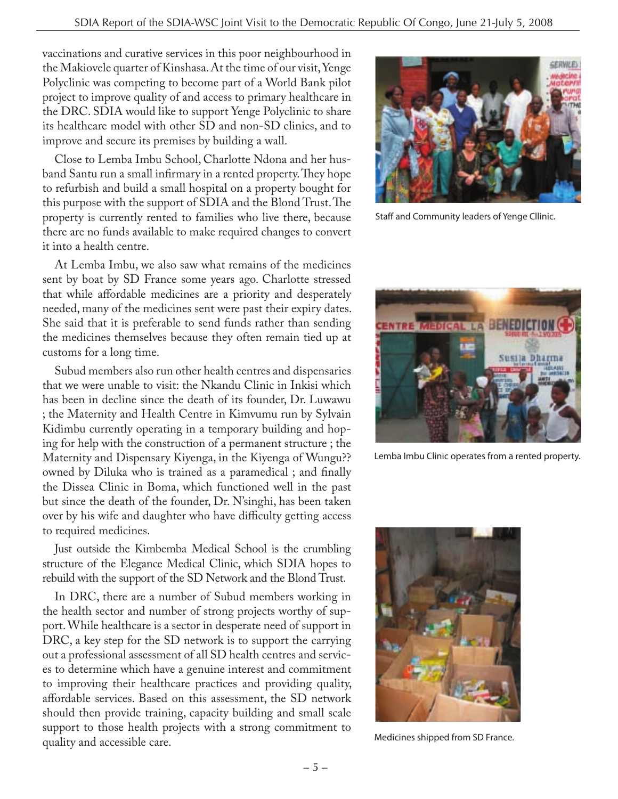vaccinations and curative services in this poor neighbourhood in the Makiovele quarter of Kinshasa. At the time of our visit, Yenge Polyclinic was competing to become part of a World Bank pilot project to improve quality of and access to primary healthcare in the DRC. SDIA would like to support Yenge Polyclinic to share its healthcare model with other SD and non-SD clinics, and to improve and secure its premises by building a wall.

Close to Lemba Imbu School, Charlotte Ndona and her husband Santu run a small infirmary in a rented property. They hope to refurbish and build a small hospital on a property bought for this purpose with the support of SDIA and the Blond Trust. The property is currently rented to families who live there, because there are no funds available to make required changes to convert it into a health centre.

At Lemba Imbu, we also saw what remains of the medicines sent by boat by SD France some years ago. Charlotte stressed that while affordable medicines are a priority and desperately needed, many of the medicines sent were past their expiry dates. She said that it is preferable to send funds rather than sending the medicines themselves because they often remain tied up at customs for a long time.

Subud members also run other health centres and dispensaries that we were unable to visit: the Nkandu Clinic in Inkisi which has been in decline since the death of its founder, Dr. Luwawu ; the Maternity and Health Centre in Kimvumu run by Sylvain Kidimbu currently operating in a temporary building and hoping for help with the construction of a permanent structure ; the Maternity and Dispensary Kiyenga, in the Kiyenga of Wungu?? owned by Diluka who is trained as a paramedical ; and finally the Dissea Clinic in Boma, which functioned well in the past but since the death of the founder, Dr. N'singhi, has been taken over by his wife and daughter who have difficulty getting access to required medicines.

Just outside the Kimbemba Medical School is the crumbling structure of the Elegance Medical Clinic, which SDIA hopes to rebuild with the support of the SD Network and the Blond Trust.

In DRC, there are a number of Subud members working in the health sector and number of strong projects worthy of support. While healthcare is a sector in desperate need of support in DRC, a key step for the SD network is to support the carrying out a professional assessment of all SD health centres and services to determine which have a genuine interest and commitment to improving their healthcare practices and providing quality, affordable services. Based on this assessment, the SD network should then provide training, capacity building and small scale support to those health projects with a strong commitment to quality and accessible care.



Staff and Community leaders of Yenge Cllinic.



Lemba Imbu Clinic operates from a rented property.



Medicines shipped from SD France.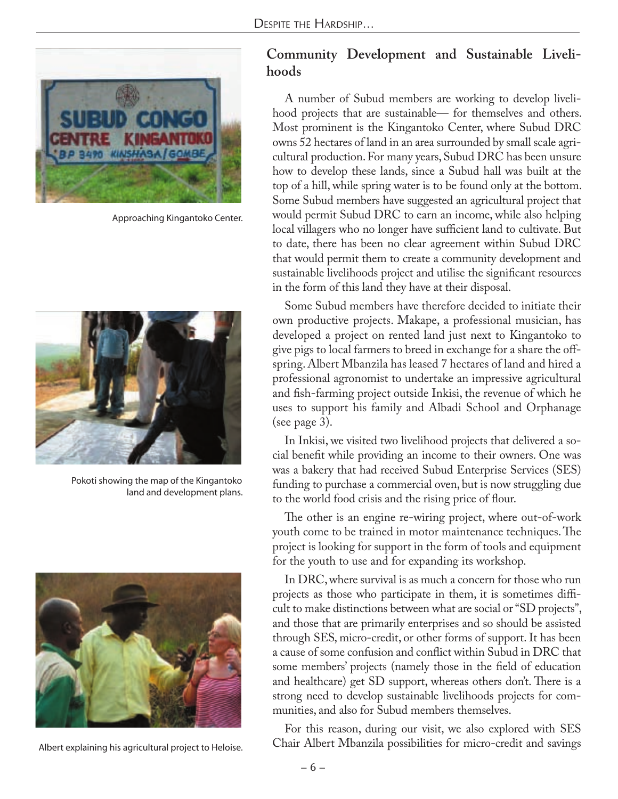

Approaching Kingantoko Center.



Pokoti showing the map of the Kingantoko land and development plans.



Albert explaining his agricultural project to Heloise.

#### **Community Development and Sustainable Livelihoods**

A number of Subud members are working to develop livelihood projects that are sustainable— for themselves and others. Most prominent is the Kingantoko Center, where Subud DRC owns 52 hectares of land in an area surrounded by small scale agricultural production. For many years, Subud DRC has been unsure how to develop these lands, since a Subud hall was built at the top of a hill, while spring water is to be found only at the bottom. Some Subud members have suggested an agricultural project that would permit Subud DRC to earn an income, while also helping local villagers who no longer have sufficient land to cultivate. But to date, there has been no clear agreement within Subud DRC that would permit them to create a community development and sustainable livelihoods project and utilise the significant resources in the form of this land they have at their disposal.

Some Subud members have therefore decided to initiate their own productive projects. Makape, a professional musician, has developed a project on rented land just next to Kingantoko to give pigs to local farmers to breed in exchange for a share the offspring. Albert Mbanzila has leased 7 hectares of land and hired a professional agronomist to undertake an impressive agricultural and fish-farming project outside Inkisi, the revenue of which he uses to support his family and Albadi School and Orphanage (see page 3).

In Inkisi, we visited two livelihood projects that delivered a social benefit while providing an income to their owners. One was was a bakery that had received Subud Enterprise Services (SES) funding to purchase a commercial oven, but is now struggling due to the world food crisis and the rising price of flour.

The other is an engine re-wiring project, where out-of-work youth come to be trained in motor maintenance techniques. The project is looking for support in the form of tools and equipment for the youth to use and for expanding its workshop.

In DRC, where survival is as much a concern for those who run projects as those who participate in them, it is sometimes difficult to make distinctions between what are social or "SD projects", and those that are primarily enterprises and so should be assisted through SES, micro-credit, or other forms of support. It has been a cause of some confusion and conflict within Subud in DRC that some members' projects (namely those in the field of education and healthcare) get SD support, whereas others don't. There is a strong need to develop sustainable livelihoods projects for communities, and also for Subud members themselves.

For this reason, during our visit, we also explored with SES Chair Albert Mbanzila possibilities for micro-credit and savings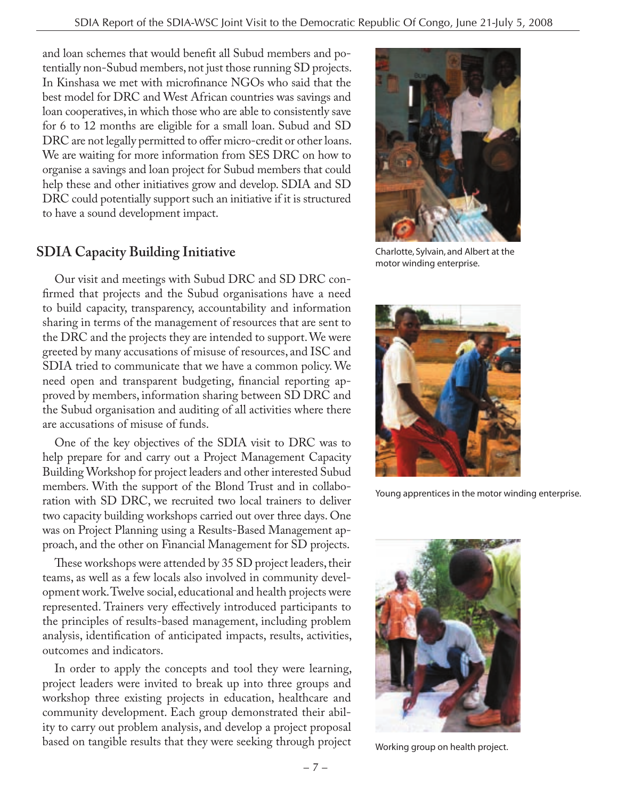and loan schemes that would benefit all Subud members and potentially non-Subud members, not just those running SD projects. In Kinshasa we met with microfinance NGOs who said that the best model for DRC and West African countries was savings and loan cooperatives, in which those who are able to consistently save for 6 to 12 months are eligible for a small loan. Subud and SD DRC are not legally permitted to offer micro-credit or other loans. We are waiting for more information from SES DRC on how to organise a savings and loan project for Subud members that could help these and other initiatives grow and develop. SDIA and SD DRC could potentially support such an initiative if it is structured to have a sound development impact.

## **SDIA Capacity Building Initiative**

Our visit and meetings with Subud DRC and SD DRC confirmed that projects and the Subud organisations have a need to build capacity, transparency, accountability and information sharing in terms of the management of resources that are sent to the DRC and the projects they are intended to support. We were greeted by many accusations of misuse of resources, and ISC and SDIA tried to communicate that we have a common policy. We need open and transparent budgeting, financial reporting approved by members, information sharing between SD DRC and the Subud organisation and auditing of all activities where there are accusations of misuse of funds.

One of the key objectives of the SDIA visit to DRC was to help prepare for and carry out a Project Management Capacity Building Workshop for project leaders and other interested Subud members. With the support of the Blond Trust and in collaboration with SD DRC, we recruited two local trainers to deliver two capacity building workshops carried out over three days. One was on Project Planning using a Results-Based Management approach, and the other on Financial Management for SD projects.

These workshops were attended by 35 SD project leaders, their teams, as well as a few locals also involved in community development work. Twelve social, educational and health projects were represented. Trainers very effectively introduced participants to the principles of results-based management, including problem analysis, identification of anticipated impacts, results, activities, outcomes and indicators.

In order to apply the concepts and tool they were learning, project leaders were invited to break up into three groups and workshop three existing projects in education, healthcare and community development. Each group demonstrated their ability to carry out problem analysis, and develop a project proposal based on tangible results that they were seeking through project



Charlotte, Sylvain, and Albert at the motor winding enterprise.



Young apprentices in the motor winding enterprise.



Working group on health project.